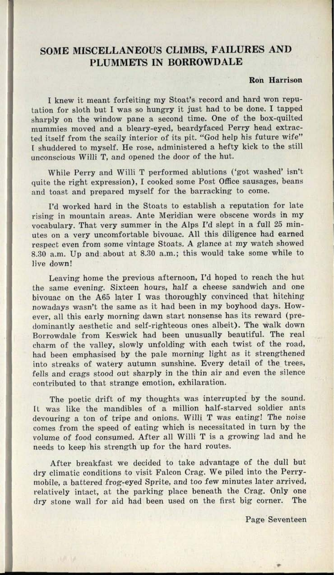## **SOME MISCELLANEOUS CLIMBS, FAILURES AND PLUMMETS IN BORROWDALE**

## **Ron Harrison**

<sup>I</sup>knew it meant forfeiting my Stoat's record and hard won reputation for sloth but I was so hungry it just had to be done. I tapped sharply on the window pane <sup>a</sup>second time. One of the box-quilted mummies moved and a bleary-eyed, beardyfaced Perry head extracted itself from the scaily interior of its pit. "God help his future wife" [ shuddered to myself. He rose, administered a hefty kick to the still unconscious Willi T, and opened the door of the hut.

While Perry and Willi T performed ablutions ('got washed' isn't quite the right expression), I cooked some Post Office sausages, beans and toast and prepared myself for the barracking to come.

I'd worked hard in the Stoats to establish a reputation for late rising in mountain areas. Ante Meridian were obscene words in my vocabulary. That very summer in the Alps I'd slept in a full 25 minutes on a very uncomfortable bivouac. All this diligence had earned respect even from some vintage Stoats. A glance at my watch showed 8.30 a.m. Up and about at 8.30 a.m.; this would take some while to live down!

Leaving home the previous afternoon, I'd hoped to reach the hut the same evening. Sixteen hours, half a cheese sandwich and one bivouac on the A65 later I was thoroughly convinced that hitching nowadays wasn't the same as it had been in my boyhood days. However, all this early morning dawn start nonsense has its reward (predominantly aesthetic and self-righteous ones albeit). The walk down Borrowdale from Keswick had been unusually beautiful. The real charm of the valley, slowly unfolding with each twist of the road, had been emphasised by the pale morning light as it strengthened into streaks of watery autumn sunshine. Every detail of the trees, fells and crags stood out sharply in the thin air and even the silence contributed to that strange emotion, exhilaration.

The poetic drift of my thoughts was interrupted by the sound. ft was like the mandibles of a million half-starved soldier ants devouring a ton of tripe and onions. Willi T was eating! The noise comes from the speed of eating which is necessitated in turn by the volume of food consumed. After all Willi T is a growing lad and he needs to keep his strength up for the hard routes.

After breakfast we decided to take advantage of the dull but dry climatic conditions to visit Falcon Crag. We piled into the Perrymobile, a battered frog-eyed Sprite, and too few minutes later arrived, relatively intact, at the parking place beneath the Crag. Only one dry stone wall for aid had been used on the first big corner. The

Page Seventeen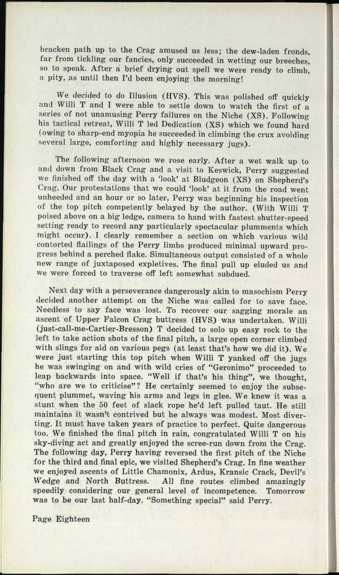bracken path up to the Crag amused us less; the dew-laden fronds, far from tickling our fancies, only succeeded in wetting our breeches, so to speak. After a brief drying out spell we were ready to climb, a pity, as until then I'd been enjoying the morning!

We decided to do Illusion (HVS). This was polished off quickly and Willi T and I were able to settle down to watch the first of <sup>a</sup> series of not unamusing Perry failures on the Niche (XS). Following his tactical retreat, Willi T led Dedication (XS) which we found hard (owing to sharp-end myopia he succeeded in climbing the crux avoiding several large, comforting and highly necessary jugs).

The following afternoon we rose early. After a wet walk up to and down from Black Crag and a visit to Keswick, Perry suggested we finished off the day with a 'look' at Bludgeon (XS) on Shepherd's Crag. Our protestations that we could 'look' at it from the road went unheeded and an hour or so later, Perry was beginning his inspection of the top pitch competently belayed by the author. (With Willi <sup>T</sup> poised above on a big ledge, camera to hand with fastest shutter-speed setting ready to record any particularly spectacular plumments which might occur). I clearly remember a section on which various wild contorted flailings of the Perry limbs produced minimal upward progress behind a perched flake. Simultaneous output consisted of a whole new range of juxtaposed expletives. The final pull up eluded us and we were forced to traverse off left somewhat subdued.

Next day with <sup>a</sup>perseverance dangerously akin to masochism Perry decided another attempt on the Niche was called for to save face. Needless to say face was lost. To recover our sagging morale an ascent of Upper Falcon Crag buttress (HVS) was undertaken. Willi (just-call-me-Cartier-Bresson) T decided to solo up easy rock to the left to take action shots of the final pitch, a large open corner climbed with slings for aid on various pegs (at least that's how we did it). We were just starting this top pitch when Willi T yanked off the jugs he was swinging on and with wild cries of "Geronimo" proceeded to leap backwards into space. "Well if that's his thing", we thought, "who are we to criticise"? He certainly seemed to enjoy the subsequent plummet, waving his arms and legs in glee. We knew it was <sup>a</sup> stunt when the 50 feet of slack rope he'd left pulled taut. He still maintains it wasn't contrived but he always was modest. Most diverting. It must have taken years of practice to perfect. Quite dangerous too. We finished the final pitch in rain, congratulated Willi T on his sky-diving act and greatly enjoyed the scree-run down from the Crag. The following day, Perry having reversed the first pitch of the Niche for the third and final epic, we visited Shepherd's Crag. In fine weather we enjoyed ascents of Little Chamonix, Ardus, Kransic Crack, Devil's Wedge and North Buttress. All fine routes climbed amazingly speedily considering our general level of incompetence. Tomorrow was to be our last half-day. "Something special" said Perry.

Page Eighteen